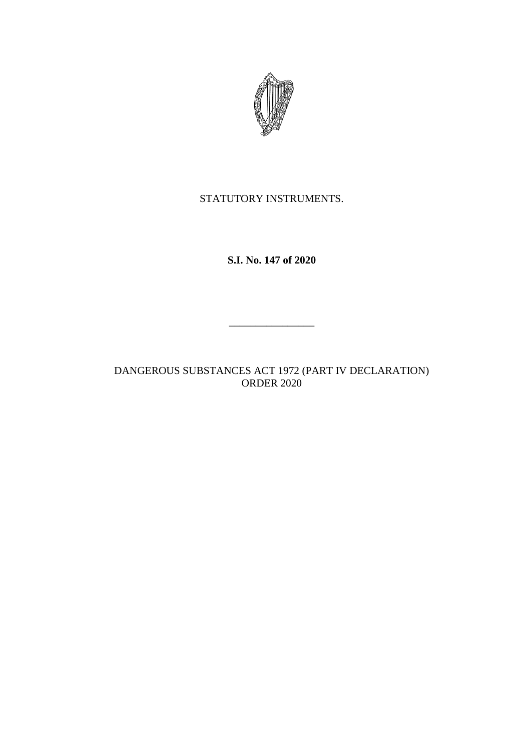

STATUTORY INSTRUMENTS.

**S.I. No. 147 of 2020**

DANGEROUS SUBSTANCES ACT 1972 (PART IV DECLARATION) ORDER 2020

 $\frac{1}{2}$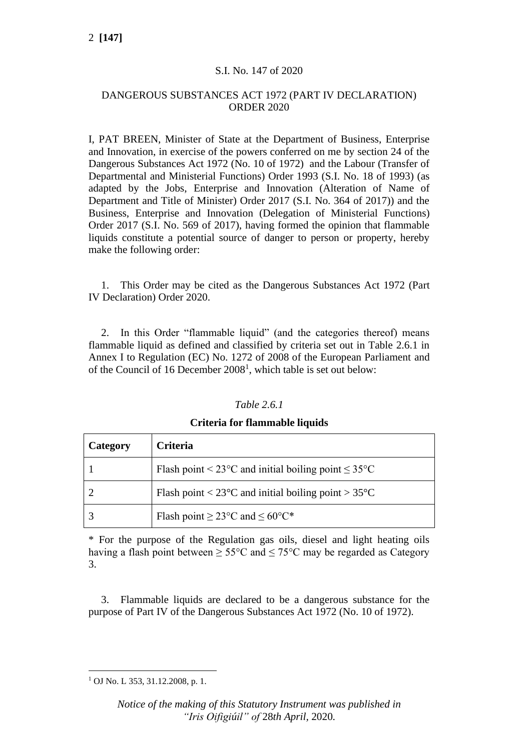### S.I. No. 147 of 2020

### DANGEROUS SUBSTANCES ACT 1972 (PART IV DECLARATION) ORDER 2020

I, PAT BREEN, Minister of State at the Department of Business, Enterprise and Innovation, in exercise of the powers conferred on me by section 24 of the Dangerous Substances Act 1972 (No. 10 of 1972) and the Labour (Transfer of Departmental and Ministerial Functions) Order 1993 (S.I. No. 18 of 1993) (as adapted by the Jobs, Enterprise and Innovation (Alteration of Name of Department and Title of Minister) Order 2017 (S.I. No. 364 of 2017)) and the Business, Enterprise and Innovation (Delegation of Ministerial Functions) Order 2017 (S.I. No. 569 of 2017), having formed the opinion that flammable liquids constitute a potential source of danger to person or property, hereby make the following order:

1. This Order may be cited as the Dangerous Substances Act 1972 (Part IV Declaration) Order 2020.

2. In this Order "flammable liquid" (and the categories thereof) means flammable liquid as defined and classified by criteria set out in Table 2.6.1 in Annex I to Regulation (EC) No. 1272 of 2008 of the European Parliament and of the Council of 16 December  $2008<sup>1</sup>$ , which table is set out below:

| <i>Table 2.6.1</i> |  |  |
|--------------------|--|--|
|                    |  |  |

| Category | Criteria                                                                   |
|----------|----------------------------------------------------------------------------|
|          | Flash point < $23^{\circ}$ C and initial boiling point $\leq 35^{\circ}$ C |
|          | Flash point < $23^{\circ}$ C and initial boiling point > $35^{\circ}$ C    |
|          | Flash point $\geq$ 23°C and $\leq$ 60°C*                                   |

#### **Criteria for flammable liquids**

\* For the purpose of the Regulation gas oils, diesel and light heating oils having a flash point between  $\geq 55^{\circ}$ C and  $\leq 75^{\circ}$ C may be regarded as Category 3.

3. Flammable liquids are declared to be a dangerous substance for the purpose of Part IV of the Dangerous Substances Act 1972 (No. 10 of 1972).

<sup>1</sup> OJ No. L 353, 31.12.2008, p. 1.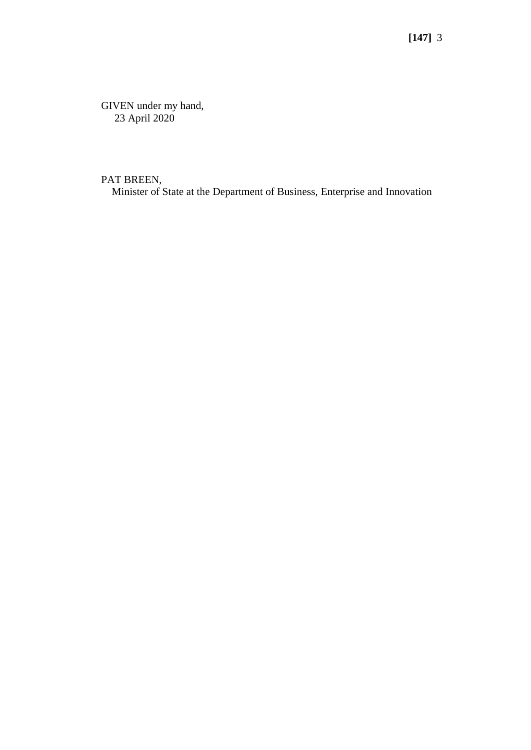GIVEN under my hand, 23 April 2020

PAT BREEN,

Minister of State at the Department of Business, Enterprise and Innovation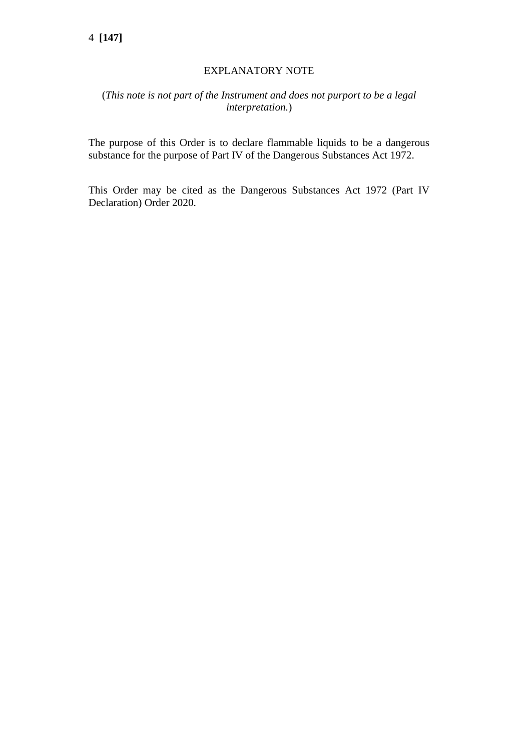# EXPLANATORY NOTE

# (*This note is not part of the Instrument and does not purport to be a legal interpretation.*)

The purpose of this Order is to declare flammable liquids to be a dangerous substance for the purpose of Part IV of the Dangerous Substances Act 1972.

This Order may be cited as the Dangerous Substances Act 1972 (Part IV Declaration) Order 2020.